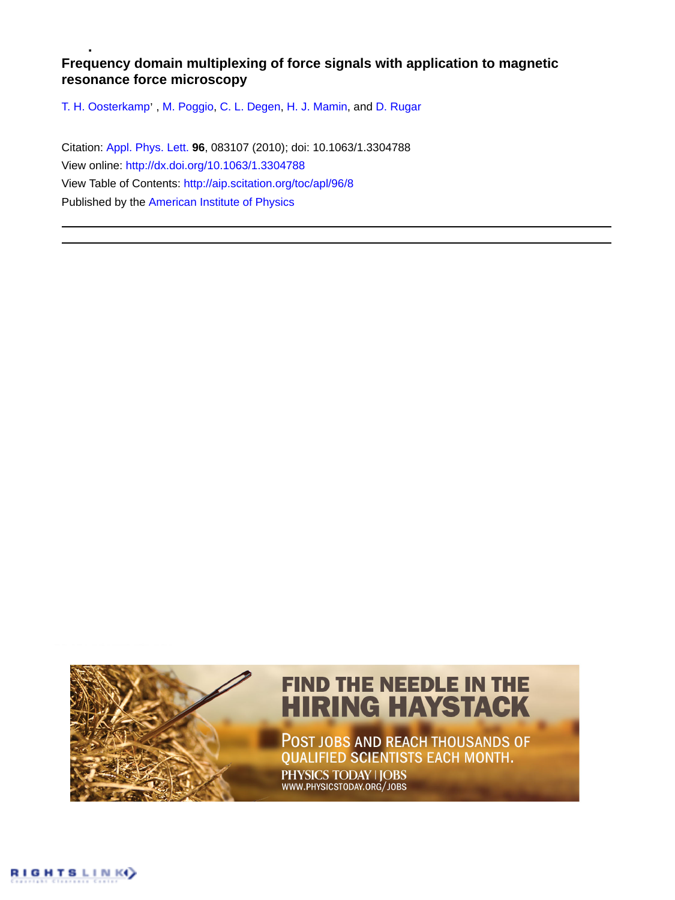## **Frequency domain multiplexing of force signals with application to magnetic resonance force microscopy**

T. H. Oosterkamp', [M. Poggio](http://aip.scitation.org/author/Poggio%2C+M), [C. L. Degen,](http://aip.scitation.org/author/Degen%2C+C+L) [H. J. Mamin,](http://aip.scitation.org/author/Mamin%2C+H+J) and [D. Rugar](http://aip.scitation.org/author/Rugar%2C+D)

Citation: [Appl. Phys. Lett.](/loi/apl) **96**, 083107 (2010); doi: 10.1063/1.3304788 View online: <http://dx.doi.org/10.1063/1.3304788> View Table of Contents: <http://aip.scitation.org/toc/apl/96/8> Published by the [American Institute of Physics](http://aip.scitation.org/publisher/)

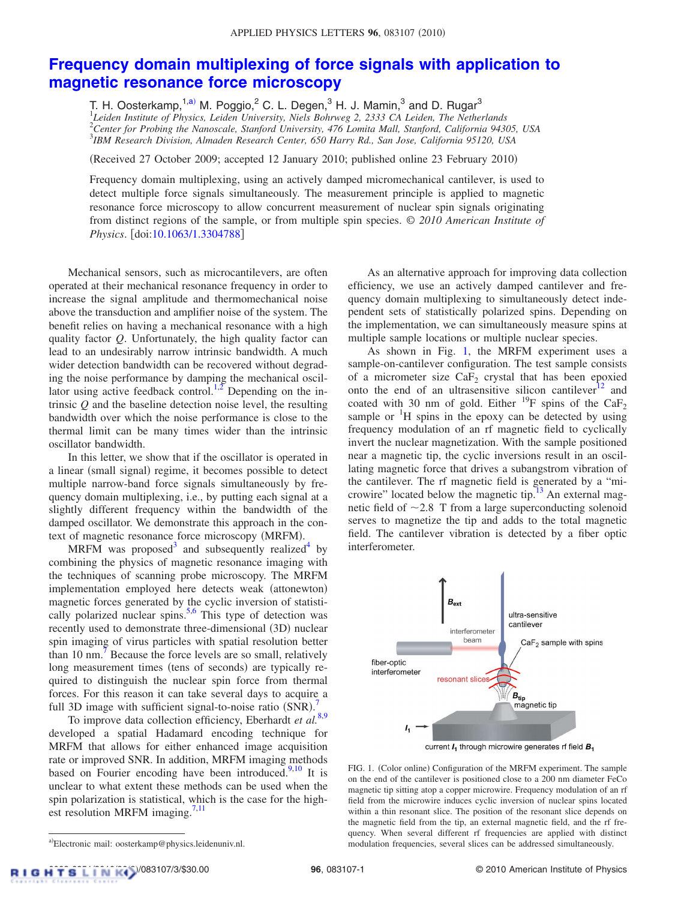## **[Frequency domain multiplexing of force signals with application to](http://dx.doi.org/10.1063/1.3304788) [magnetic resonance force microscopy](http://dx.doi.org/10.1063/1.3304788)**

T. H. Oosterkamp,  $1, a$  M. Poggio,  $^2$  C. L. Degen,  $^3$  H. J. Mamin,  $^3$  and D. Rugar $^3$  *Leiden Institute of Physics, Leiden University, Niels Bohrweg 2, 2333 CA Leiden, The Netherlands Center for Probing the Nanoscale, Stanford University, 476 Lomita Mall, Stanford, California 94305, USA IBM Research Division, Almaden Research Center, 650 Harry Rd., San Jose, California 95120, USA*

(Received 27 October 2009; accepted 12 January 2010; published online 23 February 2010)

Frequency domain multiplexing, using an actively damped micromechanical cantilever, is used to detect multiple force signals simultaneously. The measurement principle is applied to magnetic resonance force microscopy to allow concurrent measurement of nuclear spin signals originating from distinct regions of the sample, or from multiple spin species. © *2010 American Institute of Physics*. doi[:10.1063/1.3304788](http://dx.doi.org/10.1063/1.3304788)

Mechanical sensors, such as microcantilevers, are often operated at their mechanical resonance frequency in order to increase the signal amplitude and thermomechanical noise above the transduction and amplifier noise of the system. The benefit relies on having a mechanical resonance with a high quality factor *Q*. Unfortunately, the high quality factor can lead to an undesirably narrow intrinsic bandwidth. A much wider detection bandwidth can be recovered without degrading the noise performance by damping the mechanical oscil-lator using active feedback control.<sup>1[,2](#page-3-1)</sup> Depending on the intrinsic *Q* and the baseline detection noise level, the resulting bandwidth over which the noise performance is close to the thermal limit can be many times wider than the intrinsic oscillator bandwidth.

In this letter, we show that if the oscillator is operated in a linear (small signal) regime, it becomes possible to detect multiple narrow-band force signals simultaneously by frequency domain multiplexing, i.e., by putting each signal at a slightly different frequency within the bandwidth of the damped oscillator. We demonstrate this approach in the context of magnetic resonance force microscopy (MRFM).

MRFM was proposed<sup>3</sup> and subsequently realized<sup>4</sup> by combining the physics of magnetic resonance imaging with the techniques of scanning probe microscopy. The MRFM implementation employed here detects weak (attonewton) magnetic forces generated by the cyclic inversion of statistically polarized nuclear spins. $5.6$  $5.6$  This type of detection was recently used to demonstrate three-dimensional (3D) nuclear spin imaging of virus particles with spatial resolution better than 10 nm.<sup>7</sup> Because the force levels are so small, relatively long measurement times (tens of seconds) are typically required to distinguish the nuclear spin force from thermal forces. For this reason it can take several days to acquire a full 3D image with sufficient signal-to-noise ratio  $(SNR)$ .

To improve data collection efficiency, Eberhardt *et al.*[8](#page-3-7)[,9](#page-3-8) developed a spatial Hadamard encoding technique for MRFM that allows for either enhanced image acquisition rate or improved SNR. In addition, MRFM imaging methods based on Fourier encoding have been introduced. $9,10$  $9,10$  It is unclear to what extent these methods can be used when the spin polarization is statistical, which is the case for the highest resolution MRFM imaging. $7,11$  $7,11$ 

As an alternative approach for improving data collection efficiency, we use an actively damped cantilever and frequency domain multiplexing to simultaneously detect independent sets of statistically polarized spins. Depending on the implementation, we can simultaneously measure spins at multiple sample locations or multiple nuclear species.

As shown in Fig. [1,](#page-1-1) the MRFM experiment uses a sample-on-cantilever configuration. The test sample consists of a micrometer size  $CaF<sub>2</sub>$  crystal that has been epoxied onto the end of an ultrasensitive silicon cantilever $12$  and coated with 30 nm of gold. Either <sup>19</sup>F spins of the CaF<sub>2</sub> sample or  $\mathrm{H}$  spins in the epoxy can be detected by using frequency modulation of an rf magnetic field to cyclically invert the nuclear magnetization. With the sample positioned near a magnetic tip, the cyclic inversions result in an oscillating magnetic force that drives a subangstrom vibration of the cantilever. The rf magnetic field is generated by a "microwire" located below the magnetic tip. $13$  An external magnetic field of  $\sim$  2.8 T from a large superconducting solenoid serves to magnetize the tip and adds to the total magnetic field. The cantilever vibration is detected by a fiber optic interferometer.

<span id="page-1-1"></span>

current  $I_1$  through microwire generates rf field  $B_1$ 

FIG. 1. (Color online) Configuration of the MRFM experiment. The sample on the end of the cantilever is positioned close to a 200 nm diameter FeCo magnetic tip sitting atop a copper microwire. Frequency modulation of an rf field from the microwire induces cyclic inversion of nuclear spins located within a thin resonant slice. The position of the resonant slice depends on the magnetic field from the tip, an external magnetic field, and the rf frequency. When several different rf frequencies are applied with distinct modulation frequencies, several slices can be addressed simultaneously.

<span id="page-1-0"></span>a)Electronic mail: oosterkamp@physics.leidenuniv.nl.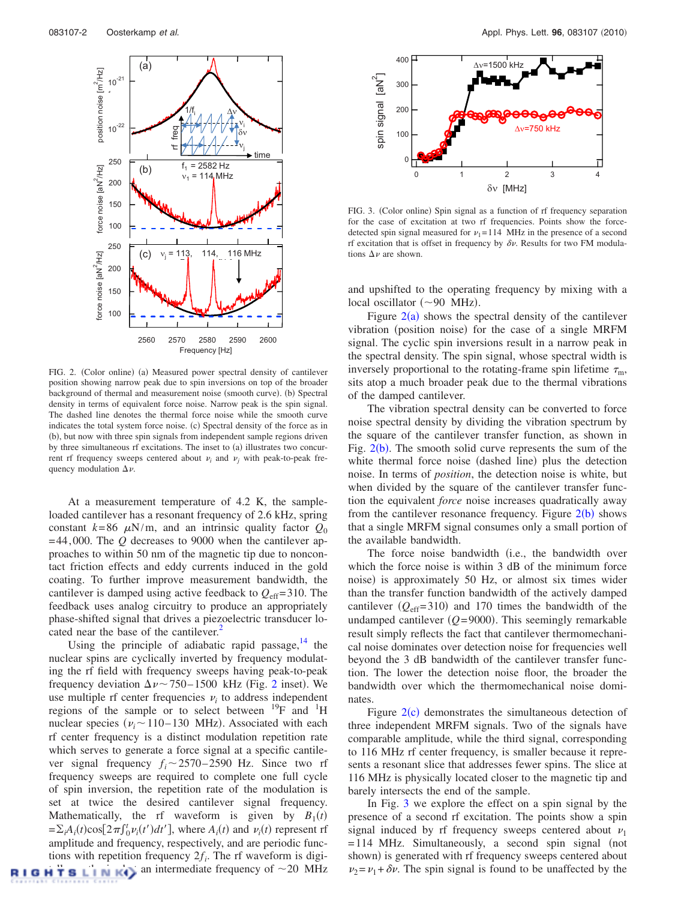<span id="page-2-0"></span>

FIG. 2. (Color online) (a) Measured power spectral density of cantilever position showing narrow peak due to spin inversions on top of the broader background of thermal and measurement noise (smooth curve). (b) Spectral density in terms of equivalent force noise. Narrow peak is the spin signal. The dashed line denotes the thermal force noise while the smooth curve indicates the total system force noise. (c) Spectral density of the force as in (b), but now with three spin signals from independent sample regions driven by three simultaneous rf excitations. The inset to (a) illustrates two concurrent rf frequency sweeps centered about  $\nu_i$  and  $\nu_j$  with peak-to-peak frequency modulation  $\Delta \nu$ .

At a measurement temperature of 4.2 K, the sampleloaded cantilever has a resonant frequency of 2.6 kHz, spring constant  $k=86 \mu\text{N/m}$ , and an intrinsic quality factor  $Q_0$ = 44, 000. The *Q* decreases to 9000 when the cantilever approaches to within 50 nm of the magnetic tip due to noncontact friction effects and eddy currents induced in the gold coating. To further improve measurement bandwidth, the cantilever is damped using active feedback to  $Q_{\text{eff}}$ = 310. The feedback uses analog circuitry to produce an appropriately phase-shifted signal that drives a piezoelectric transducer located near the base of the cantilever.<sup>2</sup>

Using the principle of adiabatic rapid passage, $14$  the nuclear spins are cyclically inverted by frequency modulating the rf field with frequency sweeps having peak-to-peak frequency deviation  $\Delta \nu$  ~ 750–1500 kHz (Fig. [2](#page-2-0) inset). We use multiple rf center frequencies  $v_i$  to address independent regions of the sample or to select between  $^{19}F$  and  $^{1}H$ nuclear species  $(\nu_i \sim 110 - 130 \text{ MHz})$ . Associated with each rf center frequency is a distinct modulation repetition rate which serves to generate a force signal at a specific cantilever signal frequency  $f_i \sim 2570 - 2590$  Hz. Since two rf frequency sweeps are required to complete one full cycle of spin inversion, the repetition rate of the modulation is set at twice the desired cantilever signal frequency. Mathematically, the rf waveform is given by  $B_1(t)$  $=\sum_i A_i(t) \cos[2\pi f_0^t \nu_i(t') dt']$ , where  $A_i(t)$  and  $\nu_i(t)$  represent rf amplitude and frequency, respectively, and are periodic functions with repetition frequency  $2f_i$ . The rf waveform is digi-**RIGHTSLINK**) an intermediate frequency of  $\sim$  20 MHz

<span id="page-2-1"></span>

FIG. 3. (Color online) Spin signal as a function of rf frequency separation for the case of excitation at two rf frequencies. Points show the forcedetected spin signal measured for  $v_1$ = 114 MHz in the presence of a second rf excitation that is offset in frequency by  $\delta v$ . Results for two FM modulations  $\Delta \nu$  are shown.

and upshifted to the operating frequency by mixing with a local oscillator ( $\sim$ 90 MHz).

Figure  $2(a)$  $2(a)$  shows the spectral density of the cantilever vibration (position noise) for the case of a single MRFM signal. The cyclic spin inversions result in a narrow peak in the spectral density. The spin signal, whose spectral width is inversely proportional to the rotating-frame spin lifetime  $\tau_{\rm m}$ , sits atop a much broader peak due to the thermal vibrations of the damped cantilever.

The vibration spectral density can be converted to force noise spectral density by dividing the vibration spectrum by the square of the cantilever transfer function, as shown in Fig.  $2(b)$  $2(b)$ . The smooth solid curve represents the sum of the white thermal force noise (dashed line) plus the detection noise. In terms of *position*, the detection noise is white, but when divided by the square of the cantilever transfer function the equivalent *force* noise increases quadratically away from the cantilever resonance frequency. Figure  $2(b)$  $2(b)$  shows that a single MRFM signal consumes only a small portion of the available bandwidth.

The force noise bandwidth (i.e., the bandwidth over which the force noise is within 3 dB of the minimum force noise) is approximately 50 Hz, or almost six times wider than the transfer function bandwidth of the actively damped cantilever  $(Q_{\text{eff}}=310)$  and 170 times the bandwidth of the undamped cantilever  $(Q=9000)$ . This seemingly remarkable result simply reflects the fact that cantilever thermomechanical noise dominates over detection noise for frequencies well beyond the 3 dB bandwidth of the cantilever transfer function. The lower the detection noise floor, the broader the bandwidth over which the thermomechanical noise dominates.

Figure  $2(c)$  $2(c)$  demonstrates the simultaneous detection of three independent MRFM signals. Two of the signals have comparable amplitude, while the third signal, corresponding to 116 MHz rf center frequency, is smaller because it represents a resonant slice that addresses fewer spins. The slice at 116 MHz is physically located closer to the magnetic tip and barely intersects the end of the sample.

In Fig. [3](#page-2-1) we explore the effect on a spin signal by the presence of a second rf excitation. The points show a spin signal induced by rf frequency sweeps centered about  $\nu_1$  $= 114$  MHz. Simultaneously, a second spin signal (not shown) is generated with rf frequency sweeps centered about  $\nu_2 = \nu_1 + \delta \nu$ . The spin signal is found to be unaffected by the